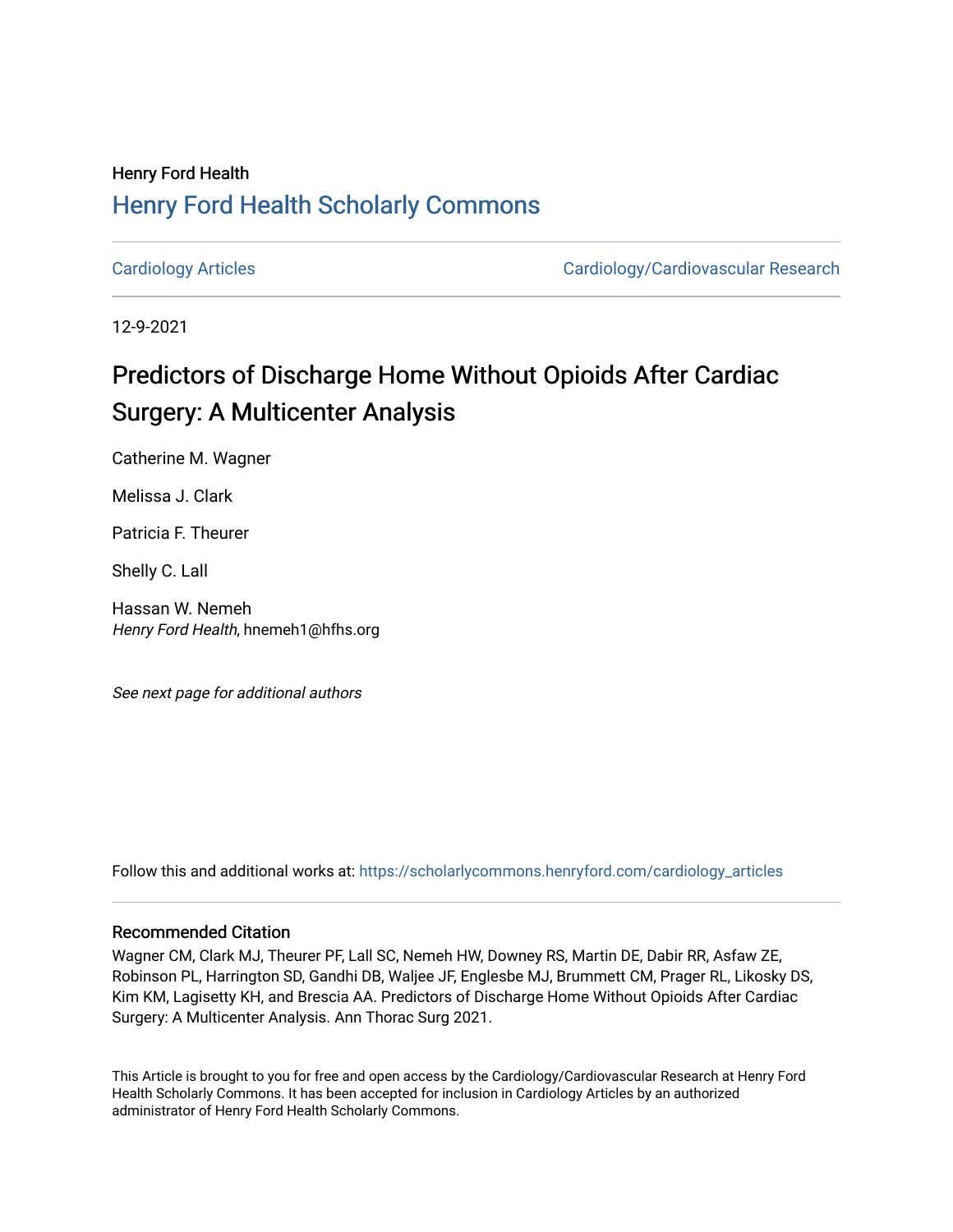## Henry Ford Health [Henry Ford Health Scholarly Commons](https://scholarlycommons.henryford.com/)

[Cardiology Articles](https://scholarlycommons.henryford.com/cardiology_articles) [Cardiology/Cardiovascular Research](https://scholarlycommons.henryford.com/cardiology) 

12-9-2021

# Predictors of Discharge Home Without Opioids After Cardiac Surgery: A Multicenter Analysis

Catherine M. Wagner

Melissa J. Clark

Patricia F. Theurer

Shelly C. Lall

Hassan W. Nemeh Henry Ford Health, hnemeh1@hfhs.org

See next page for additional authors

Follow this and additional works at: [https://scholarlycommons.henryford.com/cardiology\\_articles](https://scholarlycommons.henryford.com/cardiology_articles?utm_source=scholarlycommons.henryford.com%2Fcardiology_articles%2F856&utm_medium=PDF&utm_campaign=PDFCoverPages)

### Recommended Citation

Wagner CM, Clark MJ, Theurer PF, Lall SC, Nemeh HW, Downey RS, Martin DE, Dabir RR, Asfaw ZE, Robinson PL, Harrington SD, Gandhi DB, Waljee JF, Englesbe MJ, Brummett CM, Prager RL, Likosky DS, Kim KM, Lagisetty KH, and Brescia AA. Predictors of Discharge Home Without Opioids After Cardiac Surgery: A Multicenter Analysis. Ann Thorac Surg 2021.

This Article is brought to you for free and open access by the Cardiology/Cardiovascular Research at Henry Ford Health Scholarly Commons. It has been accepted for inclusion in Cardiology Articles by an authorized administrator of Henry Ford Health Scholarly Commons.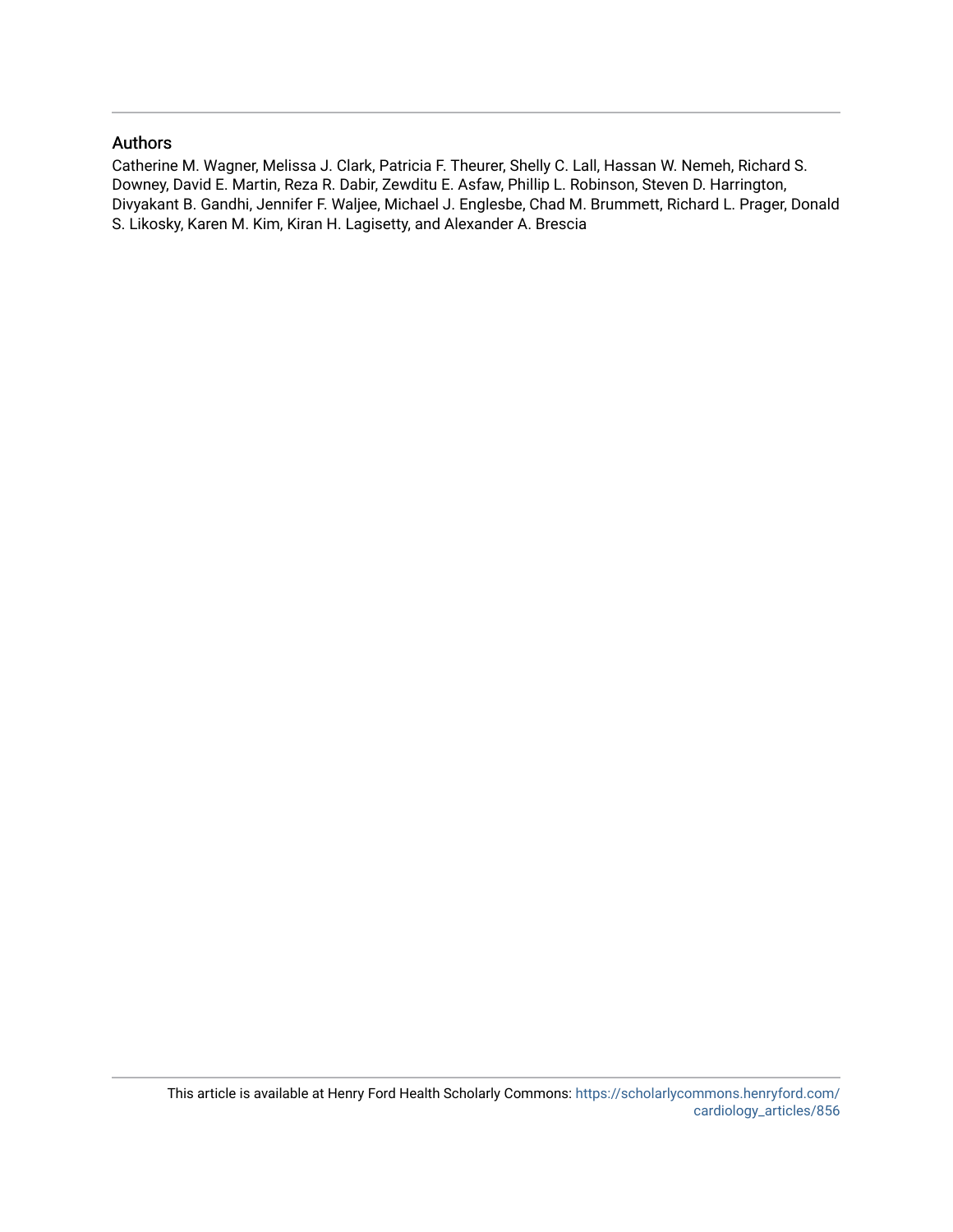### Authors

Catherine M. Wagner, Melissa J. Clark, Patricia F. Theurer, Shelly C. Lall, Hassan W. Nemeh, Richard S. Downey, David E. Martin, Reza R. Dabir, Zewditu E. Asfaw, Phillip L. Robinson, Steven D. Harrington, Divyakant B. Gandhi, Jennifer F. Waljee, Michael J. Englesbe, Chad M. Brummett, Richard L. Prager, Donald S. Likosky, Karen M. Kim, Kiran H. Lagisetty, and Alexander A. Brescia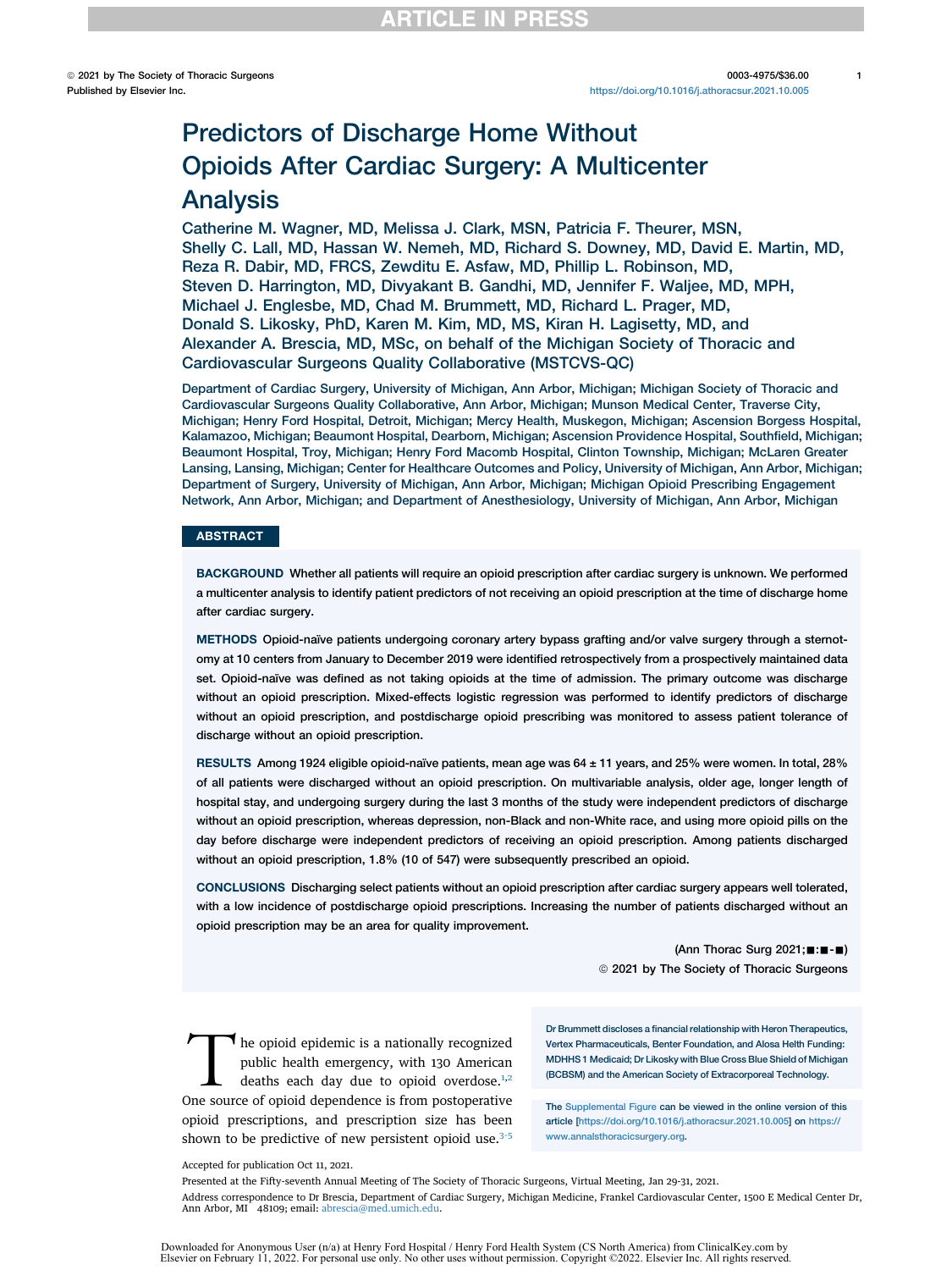1

## Predictors of Discharge Home Without Opioids After Cardiac Surgery: A Multicenter Analysis

Catherine M. Wagner, MD, Melissa J. Clark, MSN, Patricia F. Theurer, MSN, Shelly C. Lall, MD, Hassan W. Nemeh, MD, Richard S. Downey, MD, David E. Martin, MD, Reza R. Dabir, MD, FRCS, Zewditu E. Asfaw, MD, Phillip L. Robinson, MD, Steven D. Harrington, MD, Divyakant B. Gandhi, MD, Jennifer F. Waljee, MD, MPH, Michael J. Englesbe, MD, Chad M. Brummett, MD, Richard L. Prager, MD, Donald S. Likosky, PhD, Karen M. Kim, MD, MS, Kiran H. Lagisetty, MD, and Alexander A. Brescia, MD, MSc, on behalf of the Michigan Society of Thoracic and Cardiovascular Surgeons Quality Collaborative (MSTCVS-QC)

Department of Cardiac Surgery, University of Michigan, Ann Arbor, Michigan; Michigan Society of Thoracic and Cardiovascular Surgeons Quality Collaborative, Ann Arbor, Michigan; Munson Medical Center, Traverse City, Michigan; Henry Ford Hospital, Detroit, Michigan; Mercy Health, Muskegon, Michigan; Ascension Borgess Hospital, Kalamazoo, Michigan; Beaumont Hospital, Dearborn, Michigan; Ascension Providence Hospital, Southfield, Michigan; Beaumont Hospital, Troy, Michigan; Henry Ford Macomb Hospital, Clinton Township, Michigan; McLaren Greater Lansing, Lansing, Michigan; Center for Healthcare Outcomes and Policy, University of Michigan, Ann Arbor, Michigan; Department of Surgery, University of Michigan, Ann Arbor, Michigan; Michigan Opioid Prescribing Engagement Network, Ann Arbor, Michigan; and Department of Anesthesiology, University of Michigan, Ann Arbor, Michigan

#### **ABSTRACT**

BACKGROUND Whether all patients will require an opioid prescription after cardiac surgery is unknown. We performed a multicenter analysis to identify patient predictors of not receiving an opioid prescription at the time of discharge home after cardiac surgery.

METHODS Opioid-naïve patients undergoing coronary artery bypass grafting and/or valve surgery through a sternotomy at 10 centers from January to December 2019 were identified retrospectively from a prospectively maintained data set. Opioid-naïve was defined as not taking opioids at the time of admission. The primary outcome was discharge without an opioid prescription. Mixed-effects logistic regression was performed to identify predictors of discharge without an opioid prescription, and postdischarge opioid prescribing was monitored to assess patient tolerance of discharge without an opioid prescription.

RESULTS Among 1924 eligible opioid-naïve patients, mean age was 64 ± 11 years, and 25% were women. In total, 28% of all patients were discharged without an opioid prescription. On multivariable analysis, older age, longer length of hospital stay, and undergoing surgery during the last 3 months of the study were independent predictors of discharge without an opioid prescription, whereas depression, non-Black and non-White race, and using more opioid pills on the day before discharge were independent predictors of receiving an opioid prescription. Among patients discharged without an opioid prescription, 1.8% (10 of 547) were subsequently prescribed an opioid.

CONCLUSIONS Discharging select patients without an opioid prescription after cardiac surgery appears well tolerated, with a low incidence of postdischarge opioid prescriptions. Increasing the number of patients discharged without an opioid prescription may be an area for quality improvement.

> $(Ann Thorac Surg 2021; \blacksquare : \blacksquare - \blacksquare)$  $@$  2021 by The Society of Thoracic Surgeons

The opioid epidemic is a nationally recognized public health emergency, with 130 American deaths each day due to opioid overdose. $1,2$  $1,2$  $1,2$ One source of opioid dependence is from postoperative opioid prescriptions, and prescription size has been shown to be predictive of new persistent opioid use. $3-5$  Dr Brummett discloses a financial relationship with Heron Therapeutics, Vertex Pharmaceuticals, Benter Foundation, and Alosa Helth Funding: MDHHS 1 Medicaid; Dr Likosky with Blue Cross Blue Shield of Michigan (BCBSM) and the American Society of Extracorporeal Technology.

The [Supplemental Figure](#page-8-0) can be viewed in the online version of this article [\[https://doi.org/10.1016/j.athoracsur.2021.10.005](https://doi.org/10.1016/j.athoracsur.2021.10.005)] on [https://](https://www.annalsthoracicsurgery.org) [www.annalsthoracicsurgery.org](https://www.annalsthoracicsurgery.org).

Presented at the Fifty-seventh Annual Meeting of The Society of Thoracic Surgeons, Virtual Meeting, Jan 29-31, 2021.

Address correspondence to Dr Brescia, Department of Cardiac Surgery, Michigan Medicine, Frankel Cardiovascular Center, 1500 E Medical Center Dr, Ann Arbor, MI 48109; email: [abrescia@med.umich.edu](mailto:abrescia@med.umich.edu).

Downloaded for Anonymous User (n/a) at Henry Ford Hospital / Henry Ford Health System (CS North America) from ClinicalKey.com by Elsevier on February 11, 2022. For personal use only. No other uses without permission. Copyright ©2022. Elsevier Inc. All rights reserved.

Accepted for publication Oct 11, 2021.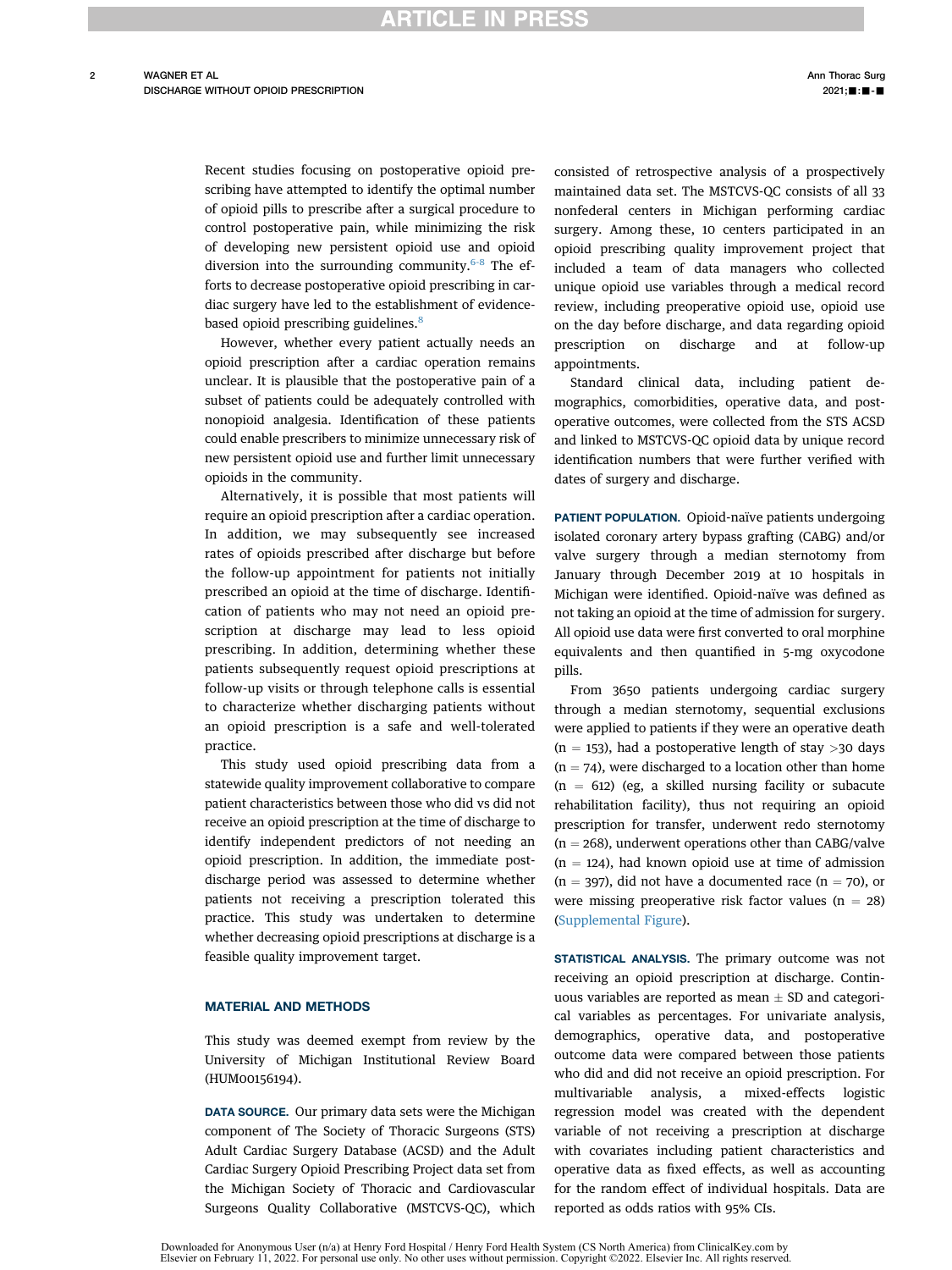## **ARTICLE IN PRESS**

Recent studies focusing on postoperative opioid prescribing have attempted to identify the optimal number of opioid pills to prescribe after a surgical procedure to control postoperative pain, while minimizing the risk of developing new persistent opioid use and opioid diversion into the surrounding community. $6-8$  The efforts to decrease postoperative opioid prescribing in cardiac surgery have led to the establishment of evidence-based opioid prescribing guidelines.<sup>[8](#page-8-2)</sup>

However, whether every patient actually needs an opioid prescription after a cardiac operation remains unclear. It is plausible that the postoperative pain of a subset of patients could be adequately controlled with nonopioid analgesia. Identification of these patients could enable prescribers to minimize unnecessary risk of new persistent opioid use and further limit unnecessary opioids in the community.

Alternatively, it is possible that most patients will require an opioid prescription after a cardiac operation. In addition, we may subsequently see increased rates of opioids prescribed after discharge but before the follow-up appointment for patients not initially prescribed an opioid at the time of discharge. Identification of patients who may not need an opioid prescription at discharge may lead to less opioid prescribing. In addition, determining whether these patients subsequently request opioid prescriptions at follow-up visits or through telephone calls is essential to characterize whether discharging patients without an opioid prescription is a safe and well-tolerated practice.

This study used opioid prescribing data from a statewide quality improvement collaborative to compare patient characteristics between those who did vs did not receive an opioid prescription at the time of discharge to identify independent predictors of not needing an opioid prescription. In addition, the immediate postdischarge period was assessed to determine whether patients not receiving a prescription tolerated this practice. This study was undertaken to determine whether decreasing opioid prescriptions at discharge is a feasible quality improvement target.

#### MATERIAL AND METHODS

This study was deemed exempt from review by the University of Michigan Institutional Review Board (HUM00156194).

DATA SOURCE. Our primary data sets were the Michigan component of The Society of Thoracic Surgeons (STS) Adult Cardiac Surgery Database (ACSD) and the Adult Cardiac Surgery Opioid Prescribing Project data set from the Michigan Society of Thoracic and Cardiovascular Surgeons Quality Collaborative (MSTCVS-QC), which

consisted of retrospective analysis of a prospectively maintained data set. The MSTCVS-QC consists of all 33 nonfederal centers in Michigan performing cardiac surgery. Among these, 10 centers participated in an opioid prescribing quality improvement project that included a team of data managers who collected unique opioid use variables through a medical record review, including preoperative opioid use, opioid use on the day before discharge, and data regarding opioid prescription on discharge and at follow-up appointments.

Standard clinical data, including patient demographics, comorbidities, operative data, and postoperative outcomes, were collected from the STS ACSD and linked to MSTCVS-QC opioid data by unique record identification numbers that were further verified with dates of surgery and discharge.

PATIENT POPULATION. Opioid-naïve patients undergoing isolated coronary artery bypass grafting (CABG) and/or valve surgery through a median sternotomy from January through December 2019 at 10 hospitals in Michigan were identified. Opioid-naïve was defined as not taking an opioid at the time of admission for surgery. All opioid use data were first converted to oral morphine equivalents and then quantified in 5-mg oxycodone pills.

From 3650 patients undergoing cardiac surgery through a median sternotomy, sequential exclusions were applied to patients if they were an operative death  $(n = 153)$ , had a postoperative length of stay >30 days  $(n = 74)$ , were discharged to a location other than home  $(n = 612)$  (eg, a skilled nursing facility or subacute rehabilitation facility), thus not requiring an opioid prescription for transfer, underwent redo sternotomy  $(n = 268)$ , underwent operations other than CABG/valve  $(n = 124)$ , had known opioid use at time of admission  $(n = 397)$ , did not have a documented race  $(n = 70)$ , or were missing preoperative risk factor values ( $n = 28$ ) ([Supplemental Figure\)](#page-8-0).

STATISTICAL ANALYSIS. The primary outcome was not receiving an opioid prescription at discharge. Continuous variables are reported as mean  $\pm$  SD and categorical variables as percentages. For univariate analysis, demographics, operative data, and postoperative outcome data were compared between those patients who did and did not receive an opioid prescription. For multivariable analysis, a mixed-effects logistic regression model was created with the dependent variable of not receiving a prescription at discharge with covariates including patient characteristics and operative data as fixed effects, as well as accounting for the random effect of individual hospitals. Data are reported as odds ratios with 95% CIs.

Downloaded for Anonymous User (n/a) at Henry Ford Hospital / Henry Ford Health System (CS North America) from ClinicalKey.com by Elsevier on February 11, 2022. For personal use only. No other uses without permission. Copyright ©2022. Elsevier Inc. All rights reserved.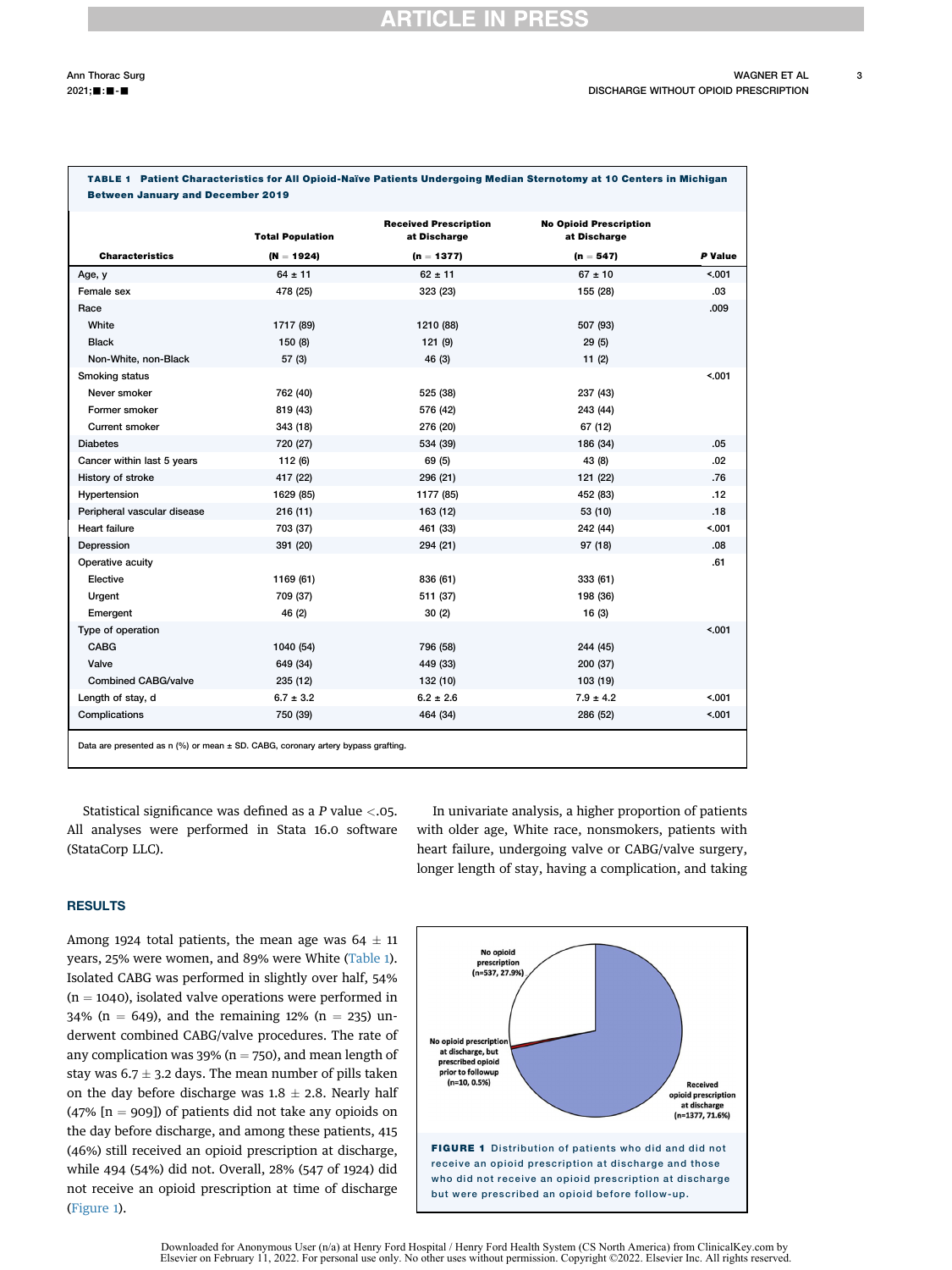3

| <b>Between January and December 2019</b> |                         |                                              |                                               |         |  |
|------------------------------------------|-------------------------|----------------------------------------------|-----------------------------------------------|---------|--|
| <b>Characteristics</b>                   | <b>Total Population</b> | <b>Received Prescription</b><br>at Discharge | <b>No Opioid Prescription</b><br>at Discharge |         |  |
|                                          | $(N = 1924)$            | $(n = 1377)$                                 | $(n = 547)$                                   | P Value |  |
| Age, y                                   | $64 \pm 11$             | $62 \pm 11$                                  | $67 \pm 10$                                   | < 0.01  |  |
| Female sex                               | 478 (25)                | 323 (23)                                     | 155 (28)                                      | .03     |  |
| Race                                     |                         |                                              |                                               | .009    |  |
| White                                    | 1717 (89)               | 1210 (88)                                    | 507 (93)                                      |         |  |
| <b>Black</b>                             | 150 (8)                 | 121(9)                                       | 29(5)                                         |         |  |
| Non-White, non-Black                     | 57(3)                   | 46 (3)                                       | 11(2)                                         |         |  |
| Smoking status                           |                         |                                              |                                               | 5.001   |  |
| Never smoker                             | 762 (40)                | 525 (38)                                     | 237 (43)                                      |         |  |
| Former smoker                            | 819 (43)                | 576 (42)                                     | 243 (44)                                      |         |  |
| Current smoker                           | 343 (18)                | 276 (20)                                     | 67 (12)                                       |         |  |
| <b>Diabetes</b>                          | 720 (27)                | 534 (39)                                     | 186 (34)                                      | .05     |  |
| Cancer within last 5 years               | 112 (6)                 | 69 (5)                                       | 43 (8)                                        | .02     |  |
| History of stroke                        | 417 (22)                | 296 (21)                                     | 121 (22)                                      | .76     |  |
| Hypertension                             | 1629 (85)               | 1177 (85)                                    | 452 (83)                                      | .12     |  |
| Peripheral vascular disease              | 216(11)                 | 163 (12)                                     | 53 (10)                                       | .18     |  |
| <b>Heart failure</b>                     | 703 (37)                | 461 (33)                                     | 242 (44)                                      | < 001   |  |

Depression 391 (20) 294 (21) 97 (18) .08 operative acuity ... 61

Type of operation <.001

Length of stay, d 6.7 ± 3.2 6.2 ± 2.6 7.9 ± 4.2 <.001 Complications 750 (39) 464 (34) 286 (52) <.001

Elective 1169 (61) 836 (61) 333 (61) Urgent 709 (37) 511 (37) 198 (36) Emergent 46 (2) 30 (2) 16 (3)

CABG 1040 (54) 796 (58) 244 (45) Valve 649 (34) 449 (33) 200 (37) Combined CABG/valve 235 (12) 132 (10) 103 (19)

<span id="page-4-0"></span>TABLE 1 Patient Characteristics for All Opioid-Naïve Patients Undergoing Median Sternotomy at 10 Centers in Michigan

Data are presented as n (%) or mean ± SD. CABG, coronary artery bypass grafting.

Statistical significance was defined as a  $P$  value <.05. All analyses were performed in Stata 16.0 software (StataCorp LLC).

In univariate analysis, a higher proportion of patients with older age, White race, nonsmokers, patients with heart failure, undergoing valve or CABG/valve surgery, longer length of stay, having a complication, and taking

#### RESULTS

Among 1924 total patients, the mean age was 64  $\pm$  11 years, 25% were women, and 89% were White [\(Table 1](#page-4-0)). Isolated CABG was performed in slightly over half, 54%  $(n = 1040)$ , isolated valve operations were performed in 34% (n = 649), and the remaining 12% (n = 235) underwent combined CABG/valve procedures. The rate of any complication was 39% ( $n = 750$ ), and mean length of stay was 6.7  $\pm$  3.2 days. The mean number of pills taken on the day before discharge was  $1.8 \pm 2.8$ . Nearly half (47%  $[n = 909]$ ) of patients did not take any opioids on the day before discharge, and among these patients, 415 (46%) still received an opioid prescription at discharge, while 494 (54%) did not. Overall, 28% (547 of 1924) did not receive an opioid prescription at time of discharge ([Figure 1\)](#page-4-1).

<span id="page-4-1"></span>

Downloaded for Anonymous User (n/a) at Henry Ford Hospital / Henry Ford Health System (CS North America) from ClinicalKey.com by Elsevier on February 11, 2022. For personal use only. No other uses without permission. Copyright ©2022. Elsevier Inc. All rights reserved.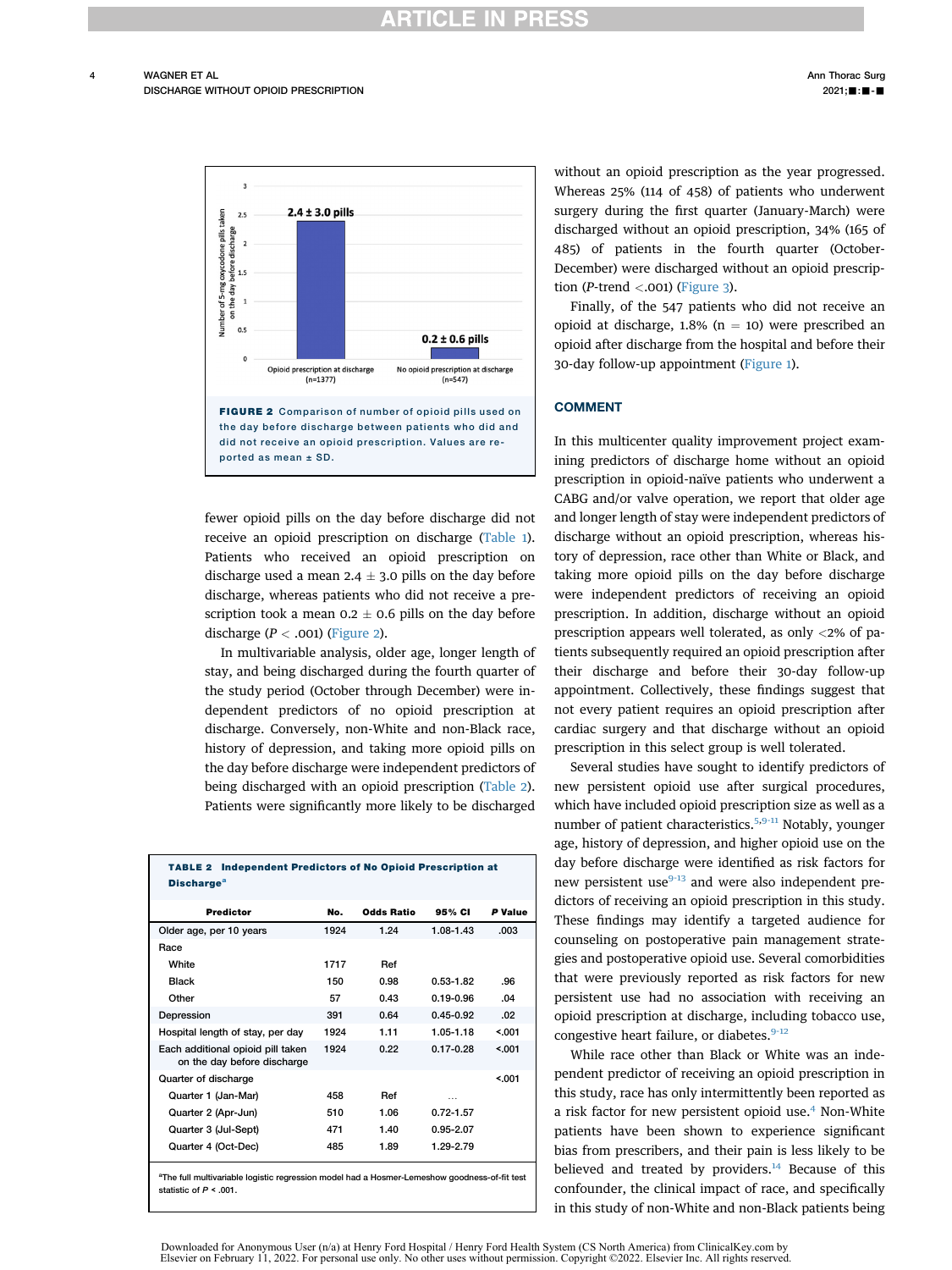**WAGNER ET AL** DISCHARGE WITHOUT OPIOID PRESCRIPTION

<span id="page-5-0"></span>

fewer opioid pills on the day before discharge did not receive an opioid prescription on discharge ([Table 1\)](#page-4-0). Patients who received an opioid prescription on discharge used a mean 2.4  $\pm$  3.0 pills on the day before discharge, whereas patients who did not receive a prescription took a mean 0.2  $\pm$  0.6 pills on the day before discharge ( $P < .001$ ) ([Figure 2](#page-5-0)).

In multivariable analysis, older age, longer length of stay, and being discharged during the fourth quarter of the study period (October through December) were independent predictors of no opioid prescription at discharge. Conversely, non-White and non-Black race, history of depression, and taking more opioid pills on the day before discharge were independent predictors of being discharged with an opioid prescription ([Table 2\)](#page-5-1). Patients were significantly more likely to be discharged

<span id="page-5-1"></span>

| <b>Predictor</b>                                                 | No.  | <b>Odds Ratio</b> | 95% CI        | P Value |
|------------------------------------------------------------------|------|-------------------|---------------|---------|
| Older age, per 10 years                                          | 1924 | 1.24              | 1.08-1.43     | .003    |
| Race                                                             |      |                   |               |         |
| White                                                            | 1717 | Ref               |               |         |
| Black                                                            | 150  | 0.98              | $0.53 - 1.82$ | .96     |
| Other                                                            | 57   | 0.43              | $0.19 - 0.96$ | .04     |
| Depression                                                       | 391  | 0.64              | $0.45 - 0.92$ | .02     |
| Hospital length of stay, per day                                 | 1924 | 1.11              | 1.05-1.18     | < 001   |
| Each additional opioid pill taken<br>on the day before discharge | 1924 | 0.22              | $0.17 - 0.28$ | 5.001   |
| Quarter of discharge                                             |      |                   |               | 5001    |
| Quarter 1 (Jan-Mar)                                              | 458  | Ref               | $\cdots$      |         |
| Quarter 2 (Apr-Jun)                                              | 510  | 1.06              | $0.72 - 1.57$ |         |
| Quarter 3 (Jul-Sept)                                             | 471  | 1.40              | $0.95 - 2.07$ |         |
| Quarter 4 (Oct-Dec)                                              | 485  | 1.89              | 1.29-2.79     |         |

<span id="page-5-2"></span>The full multivariable logistic regression model had a Hosmer-Lemeshow goodness-of-fit test statistic of  $P \leq .001$ .

without an opioid prescription as the year progressed. Whereas 25% (114 of 458) of patients who underwent surgery during the first quarter (January-March) were discharged without an opioid prescription, 34% (165 of 485) of patients in the fourth quarter (October-December) were discharged without an opioid prescription (*P*-trend <.001) ([Figure 3](#page-6-0)).

Finally, of the 547 patients who did not receive an opioid at discharge,  $1.8\%$  (n = 10) were prescribed an opioid after discharge from the hospital and before their 30-day follow-up appointment [\(Figure 1\)](#page-4-1).

#### **COMMENT**

In this multicenter quality improvement project examining predictors of discharge home without an opioid prescription in opioid-naïve patients who underwent a CABG and/or valve operation, we report that older age and longer length of stay were independent predictors of discharge without an opioid prescription, whereas history of depression, race other than White or Black, and taking more opioid pills on the day before discharge were independent predictors of receiving an opioid prescription. In addition, discharge without an opioid prescription appears well tolerated, as only <2% of patients subsequently required an opioid prescription after their discharge and before their 30-day follow-up appointment. Collectively, these findings suggest that not every patient requires an opioid prescription after cardiac surgery and that discharge without an opioid prescription in this select group is well tolerated.

Several studies have sought to identify predictors of new persistent opioid use after surgical procedures, which have included opioid prescription size as well as a number of patient characteristics.<sup>[5,](#page-7-3)[9-11](#page-8-3)</sup> Notably, younger age, history of depression, and higher opioid use on the day before discharge were identified as risk factors for new persistent use<sup>[9-13](#page-8-3)</sup> and were also independent predictors of receiving an opioid prescription in this study. These findings may identify a targeted audience for counseling on postoperative pain management strategies and postoperative opioid use. Several comorbidities that were previously reported as risk factors for new persistent use had no association with receiving an opioid prescription at discharge, including tobacco use, congestive heart failure, or diabetes.<sup>[9-12](#page-8-3)</sup>

While race other than Black or White was an independent predictor of receiving an opioid prescription in this study, race has only intermittently been reported as a risk factor for new persistent opioid use.<sup>[4](#page-7-4)</sup> Non-White patients have been shown to experience significant bias from prescribers, and their pain is less likely to be believed and treated by providers. $14$  Because of this confounder, the clinical impact of race, and specifically in this study of non-White and non-Black patients being

Downloaded for Anonymous User (n/a) at Henry Ford Hospital / Henry Ford Health System (CS North America) from ClinicalKey.com by Elsevier on February 11, 2022. For personal use only. No other uses without permission. Copyright ©2022. Elsevier Inc. All rights reserved.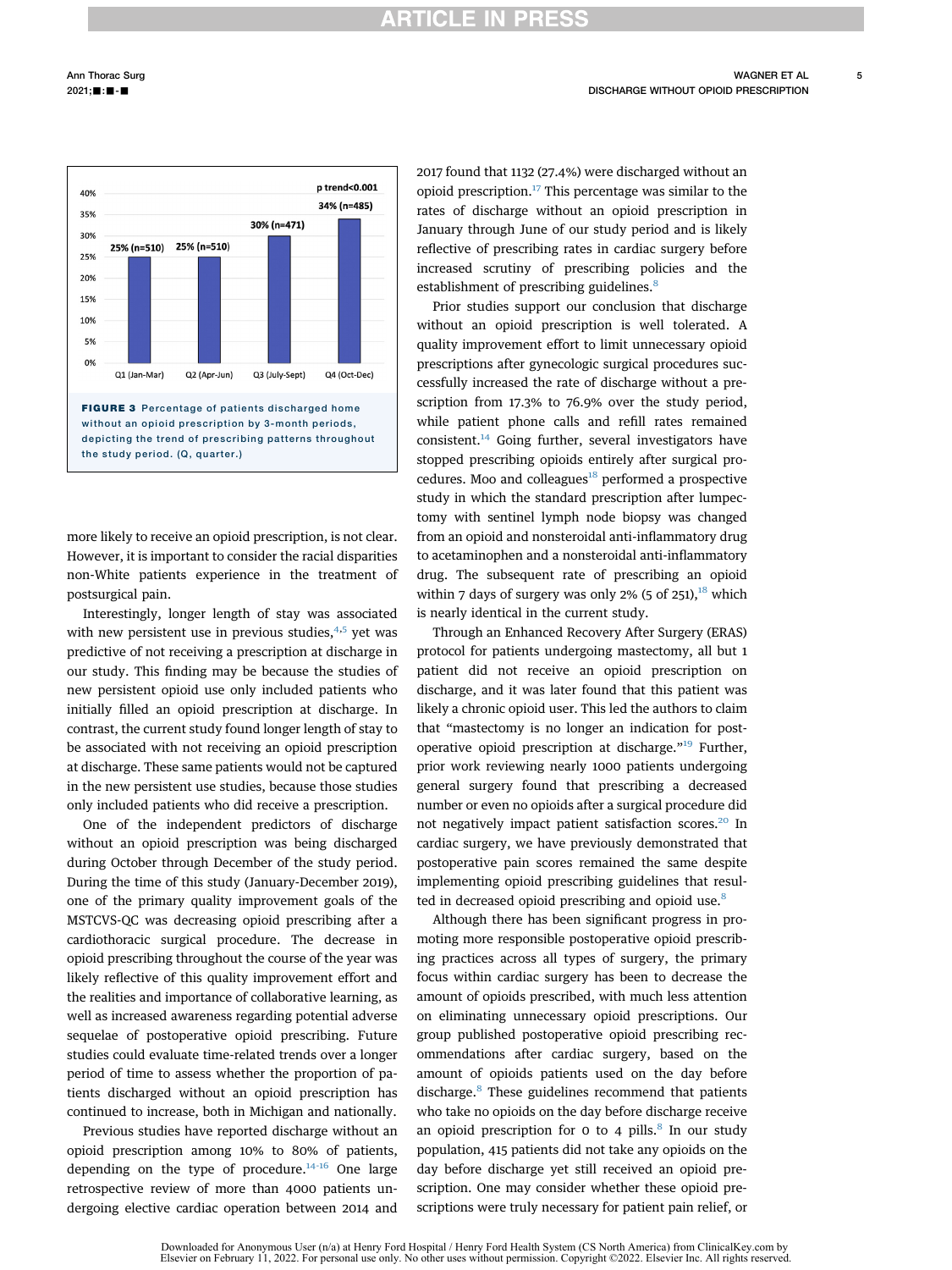## **ARTICLE IN PRESS**

#### Ann Thorac Surg  $2021$ : $\blacksquare$ : $\blacksquare$ - $\blacksquare$

5

<span id="page-6-0"></span>

more likely to receive an opioid prescription, is not clear. However, it is important to consider the racial disparities non-White patients experience in the treatment of postsurgical pain.

Interestingly, longer length of stay was associated with new persistent use in previous studies, $4.5$  $4.5$  yet was predictive of not receiving a prescription at discharge in our study. This finding may be because the studies of new persistent opioid use only included patients who initially filled an opioid prescription at discharge. In contrast, the current study found longer length of stay to be associated with not receiving an opioid prescription at discharge. These same patients would not be captured in the new persistent use studies, because those studies only included patients who did receive a prescription.

One of the independent predictors of discharge without an opioid prescription was being discharged during October through December of the study period. During the time of this study (January-December 2019), one of the primary quality improvement goals of the MSTCVS-QC was decreasing opioid prescribing after a cardiothoracic surgical procedure. The decrease in opioid prescribing throughout the course of the year was likely reflective of this quality improvement effort and the realities and importance of collaborative learning, as well as increased awareness regarding potential adverse sequelae of postoperative opioid prescribing. Future studies could evaluate time-related trends over a longer period of time to assess whether the proportion of patients discharged without an opioid prescription has continued to increase, both in Michigan and nationally.

Previous studies have reported discharge without an opioid prescription among 10% to 80% of patients, depending on the type of procedure. $14-16$  One large retrospective review of more than 4000 patients undergoing elective cardiac operation between 2014 and 2017 found that 1132 (27.4%) were discharged without an opioid prescription. $17$  This percentage was similar to the rates of discharge without an opioid prescription in January through June of our study period and is likely reflective of prescribing rates in cardiac surgery before increased scrutiny of prescribing policies and the establishment of prescribing guidelines.<sup>[8](#page-8-2)</sup>

Prior studies support our conclusion that discharge without an opioid prescription is well tolerated. A quality improvement effort to limit unnecessary opioid prescriptions after gynecologic surgical procedures successfully increased the rate of discharge without a prescription from 17.3% to 76.9% over the study period, while patient phone calls and refill rates remained consistent.<sup>[14](#page-8-4)</sup> Going further, several investigators have stopped prescribing opioids entirely after surgical procedures. Moo and colleagues $18$  performed a prospective study in which the standard prescription after lumpectomy with sentinel lymph node biopsy was changed from an opioid and nonsteroidal anti-inflammatory drug to acetaminophen and a nonsteroidal anti-inflammatory drug. The subsequent rate of prescribing an opioid within 7 days of surgery was only 2% (5 of 251), $^{18}$  $^{18}$  $^{18}$  which is nearly identical in the current study.

Through an Enhanced Recovery After Surgery (ERAS) protocol for patients undergoing mastectomy, all but 1 patient did not receive an opioid prescription on discharge, and it was later found that this patient was likely a chronic opioid user. This led the authors to claim that "mastectomy is no longer an indication for postoperative opioid prescription at discharge." $19$  Further, prior work reviewing nearly 1000 patients undergoing general surgery found that prescribing a decreased number or even no opioids after a surgical procedure did not negatively impact patient satisfaction scores.[20](#page-8-8) In cardiac surgery, we have previously demonstrated that postoperative pain scores remained the same despite implementing opioid prescribing guidelines that resul-ted in decreased opioid prescribing and opioid use.<sup>[8](#page-8-2)</sup>

Although there has been significant progress in promoting more responsible postoperative opioid prescribing practices across all types of surgery, the primary focus within cardiac surgery has been to decrease the amount of opioids prescribed, with much less attention on eliminating unnecessary opioid prescriptions. Our group published postoperative opioid prescribing recommendations after cardiac surgery, based on the amount of opioids patients used on the day before discharge.<sup>[8](#page-8-2)</sup> These guidelines recommend that patients who take no opioids on the day before discharge receive an opioid prescription for 0 to 4 pills. $8 \text{ In our study}$  $8 \text{ In our study}$ population, 415 patients did not take any opioids on the day before discharge yet still received an opioid prescription. One may consider whether these opioid prescriptions were truly necessary for patient pain relief, or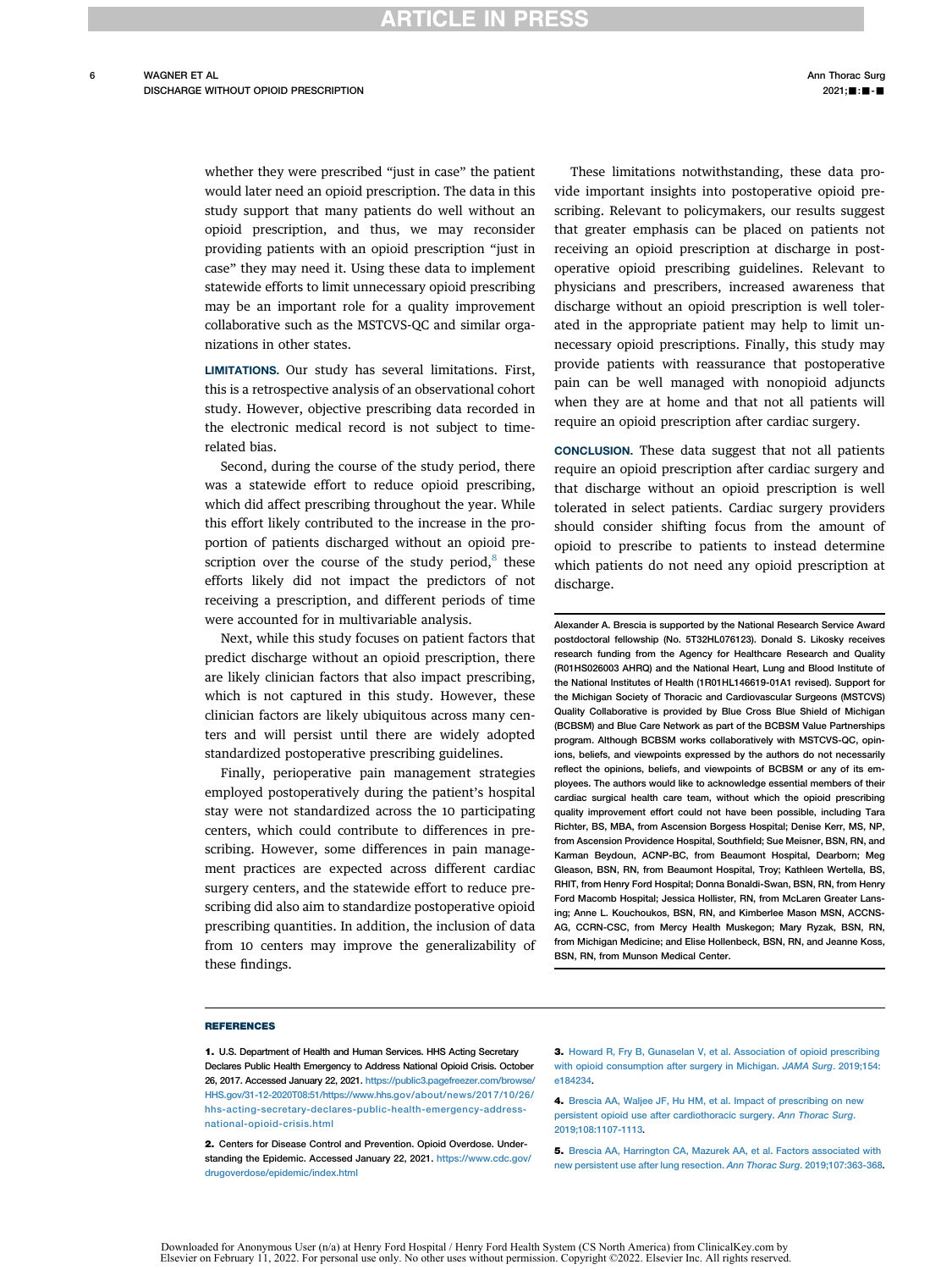## **ARTICLE IN PRESS**

whether they were prescribed "just in case" the patient would later need an opioid prescription. The data in this study support that many patients do well without an opioid prescription, and thus, we may reconsider providing patients with an opioid prescription "just in case" they may need it. Using these data to implement statewide efforts to limit unnecessary opioid prescribing may be an important role for a quality improvement collaborative such as the MSTCVS-QC and similar organizations in other states.

LIMITATIONS. Our study has several limitations. First, this is a retrospective analysis of an observational cohort study. However, objective prescribing data recorded in the electronic medical record is not subject to timerelated bias.

Second, during the course of the study period, there was a statewide effort to reduce opioid prescribing, which did affect prescribing throughout the year. While this effort likely contributed to the increase in the proportion of patients discharged without an opioid prescription over the course of the study period, $8$  these efforts likely did not impact the predictors of not receiving a prescription, and different periods of time were accounted for in multivariable analysis.

Next, while this study focuses on patient factors that predict discharge without an opioid prescription, there are likely clinician factors that also impact prescribing, which is not captured in this study. However, these clinician factors are likely ubiquitous across many centers and will persist until there are widely adopted standardized postoperative prescribing guidelines.

Finally, perioperative pain management strategies employed postoperatively during the patient's hospital stay were not standardized across the 10 participating centers, which could contribute to differences in prescribing. However, some differences in pain management practices are expected across different cardiac surgery centers, and the statewide effort to reduce prescribing did also aim to standardize postoperative opioid prescribing quantities. In addition, the inclusion of data from 10 centers may improve the generalizability of these findings.

These limitations notwithstanding, these data provide important insights into postoperative opioid prescribing. Relevant to policymakers, our results suggest that greater emphasis can be placed on patients not receiving an opioid prescription at discharge in postoperative opioid prescribing guidelines. Relevant to physicians and prescribers, increased awareness that discharge without an opioid prescription is well tolerated in the appropriate patient may help to limit unnecessary opioid prescriptions. Finally, this study may provide patients with reassurance that postoperative pain can be well managed with nonopioid adjuncts when they are at home and that not all patients will require an opioid prescription after cardiac surgery.

CONCLUSION. These data suggest that not all patients require an opioid prescription after cardiac surgery and that discharge without an opioid prescription is well tolerated in select patients. Cardiac surgery providers should consider shifting focus from the amount of opioid to prescribe to patients to instead determine which patients do not need any opioid prescription at discharge.

Alexander A. Brescia is supported by the National Research Service Award postdoctoral fellowship (No. 5T32HL076123). Donald S. Likosky receives research funding from the Agency for Healthcare Research and Quality (R01HS026003 AHRQ) and the National Heart, Lung and Blood Institute of the National Institutes of Health (1R01HL146619-01A1 revised). Support for the Michigan Society of Thoracic and Cardiovascular Surgeons (MSTCVS) Quality Collaborative is provided by Blue Cross Blue Shield of Michigan (BCBSM) and Blue Care Network as part of the BCBSM Value Partnerships program. Although BCBSM works collaboratively with MSTCVS-QC, opinions, beliefs, and viewpoints expressed by the authors do not necessarily reflect the opinions, beliefs, and viewpoints of BCBSM or any of its employees. The authors would like to acknowledge essential members of their cardiac surgical health care team, without which the opioid prescribing quality improvement effort could not have been possible, including Tara Richter, BS, MBA, from Ascension Borgess Hospital; Denise Kerr, MS, NP, from Ascension Providence Hospital, Southfield; Sue Meisner, BSN, RN, and Karman Beydoun, ACNP-BC, from Beaumont Hospital, Dearborn; Meg Gleason, BSN, RN, from Beaumont Hospital, Troy; Kathleen Wertella, BS, RHIT, from Henry Ford Hospital; Donna Bonaldi-Swan, BSN, RN, from Henry Ford Macomb Hospital; Jessica Hollister, RN, from McLaren Greater Lansing; Anne L. Kouchoukos, BSN, RN, and Kimberlee Mason MSN, ACCNS-AG, CCRN-CSC, from Mercy Health Muskegon; Mary Ryzak, BSN, RN, from Michigan Medicine; and Elise Hollenbeck, BSN, RN, and Jeanne Koss, BSN, RN, from Munson Medical Center.

#### REFERENCES

- <span id="page-7-0"></span>1. U.S. Department of Health and Human Services. HHS Acting Secretary Declares Public Health Emergency to Address National Opioid Crisis. October 26, 2017. Accessed January 22, 2021. [https://public3.pagefreezer.com/browse/](https://public3.pagefreezer.com/browse/HHS.gov/31-12-2020T08:51/https://www.hhs.gov/about/news/2017/10/26/hhs-acting-secretary-declares-public-health-emergency-address-national-opioid-crisis.html) [HHS.gov/31-12-2020T08:51/https://www.hhs.gov/about/news/2017/10/26/](https://public3.pagefreezer.com/browse/HHS.gov/31-12-2020T08:51/https://www.hhs.gov/about/news/2017/10/26/hhs-acting-secretary-declares-public-health-emergency-address-national-opioid-crisis.html) [hhs-acting-secretary-declares-public-health-emergency-address](https://public3.pagefreezer.com/browse/HHS.gov/31-12-2020T08:51/https://www.hhs.gov/about/news/2017/10/26/hhs-acting-secretary-declares-public-health-emergency-address-national-opioid-crisis.html)[national-opioid-crisis.html](https://public3.pagefreezer.com/browse/HHS.gov/31-12-2020T08:51/https://www.hhs.gov/about/news/2017/10/26/hhs-acting-secretary-declares-public-health-emergency-address-national-opioid-crisis.html)
- <span id="page-7-1"></span>2. Centers for Disease Control and Prevention. Opioid Overdose. Understanding the Epidemic. Accessed January 22, 2021. [https://www.cdc.gov/](https://www.cdc.gov/drugoverdose/epidemic/index.html) [drugoverdose/epidemic/index.html](https://www.cdc.gov/drugoverdose/epidemic/index.html)
- <span id="page-7-2"></span>3. [Howard R, Fry B, Gunaselan V, et al. Association of opioid prescribing](http://refhub.elsevier.com/S0003-4975(21)01842-7/sref3) [with opioid consumption after surgery in Michigan.](http://refhub.elsevier.com/S0003-4975(21)01842-7/sref3) JAMA Surg. 2019;154: [e184234](http://refhub.elsevier.com/S0003-4975(21)01842-7/sref3).
- <span id="page-7-4"></span>4. [Brescia AA, Waljee JF, Hu HM, et al. Impact of prescribing on new](http://refhub.elsevier.com/S0003-4975(21)01842-7/sref4) [persistent opioid use after cardiothoracic surgery.](http://refhub.elsevier.com/S0003-4975(21)01842-7/sref4) Ann Thorac Surg. [2019;108:1107-1113.](http://refhub.elsevier.com/S0003-4975(21)01842-7/sref4)
- <span id="page-7-3"></span>5. [Brescia AA, Harrington CA, Mazurek AA, et al. Factors associated with](http://refhub.elsevier.com/S0003-4975(21)01842-7/sref5) [new persistent use after lung resection.](http://refhub.elsevier.com/S0003-4975(21)01842-7/sref5) Ann Thorac Surg. 2019;107:363-368.